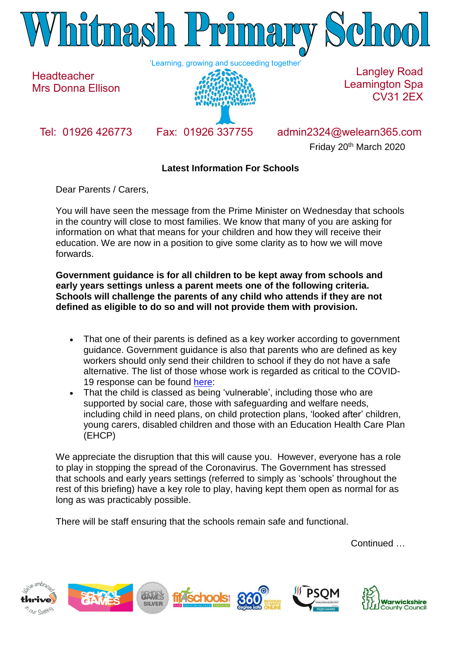

**Headteacher** Mrs Donna Ellison



Langley Road Leamington Spa CV31 2EX

Tel: 01926 426773 Fax: 01926 337755 admin2324@welearn365.com Friday 20th March 2020

## **Latest Information For Schools**

Dear Parents / Carers,

You will have seen the message from the Prime Minister on Wednesday that schools in the country will close to most families. We know that many of you are asking for information on what that means for your children and how they will receive their education. We are now in a position to give some clarity as to how we will move forwards.

**Government guidance is for all children to be kept away from schools and early years settings unless a parent meets one of the following criteria. Schools will challenge the parents of any child who attends if they are not defined as eligible to do so and will not provide them with provision.**

- That one of their parents is defined as a key worker according to government guidance. Government guidance is also that parents who are defined as key workers should only send their children to school if they do not have a safe alternative. The list of those whose work is regarded as critical to the COVID-19 response can be found [here:](https://www.gov.uk/government/publications/coronavirus-covid-19-maintaining-educational-provision/guidance-for-schools-colleges-and-local-authorities-on-maintaining-educational-provision)
- That the child is classed as being 'vulnerable', including those who are supported by social care, those with safeguarding and welfare needs, including child in need plans, on child protection plans, 'looked after' children, young carers, disabled children and those with an Education Health Care Plan (EHCP)

We appreciate the disruption that this will cause you. However, everyone has a role to play in stopping the spread of the Coronavirus. The Government has stressed that schools and early years settings (referred to simply as 'schools' throughout the rest of this briefing) have a key role to play, having kept them open as normal for as long as was practicably possible.

There will be staff ensuring that the schools remain safe and functional.

Continued …